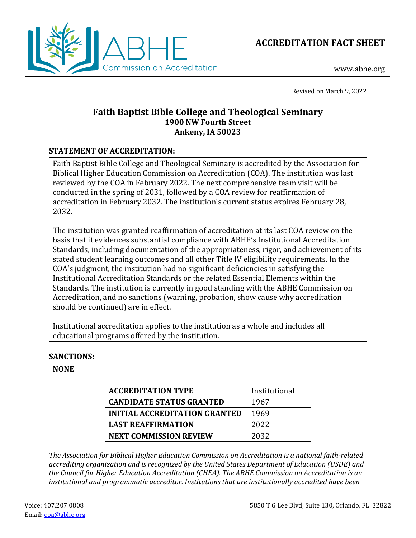



www.abhe.org

Revised on March 9, 2022

# **Faith Baptist Bible College and Theological Seminary 1900 NW Fourth Street Ankeny, IA 50023**

# **STATEMENT OF ACCREDITATION:**

Faith Baptist Bible College and Theological Seminary is accredited by the Association for Biblical Higher Education Commission on Accreditation (COA). The institution was last reviewed by the COA in February 2022. The next comprehensive team visit will be conducted in the spring of 2031, followed by a COA review for reaffirmation of accreditation in February 2032. The institution's current status expires February 28, 2032.

The institution was granted reaffirmation of accreditation at its last COA review on the basis that it evidences substantial compliance with ABHE's Institutional Accreditation Standards, including documentation of the appropriateness, rigor, and achievement of its stated student learning outcomes and all other Title IV eligibility requirements. In the COA's judgment, the institution had no significant deficiencies in satisfying the Institutional Accreditation Standards or the related Essential Elements within the Standards. The institution is currently in good standing with the ABHE Commission on Accreditation, and no sanctions (warning, probation, show cause why accreditation should be continued) are in effect.

Institutional accreditation applies to the institution as a whole and includes all educational programs offered by the institution.

## **SANCTIONS:**

## **NONE**

| <b>ACCREDITATION TYPE</b>            | Institutional |
|--------------------------------------|---------------|
| <b>CANDIDATE STATUS GRANTED</b>      | 1967          |
| <b>INITIAL ACCREDITATION GRANTED</b> | 1969          |
| <b>LAST REAFFIRMATION</b>            | 2022          |
| <b>NEXT COMMISSION REVIEW</b>        | 2032          |

*The Association for Biblical Higher Education Commission on Accreditation is a national faith-related accrediting organization and is recognized by the United States Department of Education (USDE) and the Council for Higher Education Accreditation (CHEA). The ABHE Commission on Accreditation is an institutional and programmatic accreditor. Institutions that are institutionally accredited have been*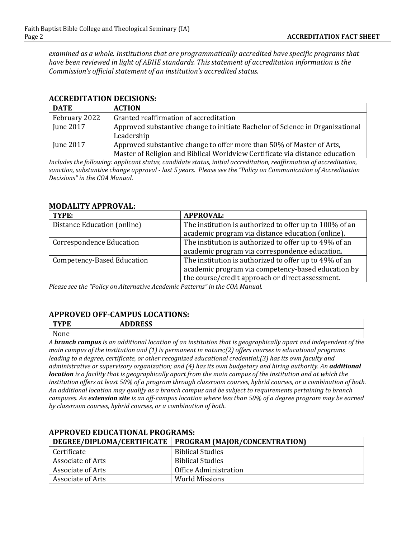*examined as a whole. Institutions that are programmatically accredited have specific programs that have been reviewed in light of ABHE standards. This statement of accreditation information is the Commission's official statement of an institution's accredited status.*

#### **ACCREDITATION DECISIONS:**

| <b>DATE</b>      | <b>ACTION</b>                                                                 |
|------------------|-------------------------------------------------------------------------------|
| February 2022    | Granted reaffirmation of accreditation                                        |
| <b>June 2017</b> | Approved substantive change to initiate Bachelor of Science in Organizational |
|                  | Leadership                                                                    |
| June 2017        | Approved substantive change to offer more than 50% of Master of Arts,         |
|                  | Master of Religion and Biblical Worldview Certificate via distance education  |

*Includes the following: applicant status, candidate status, initial accreditation, reaffirmation of accreditation, sanction, substantive change approval - last 5 years. Please see the "Policy on Communication of Accreditation Decisions" in the COA Manual.*

#### **MODALITY APPROVAL:**

| TYPE:                           | <b>APPROVAL:</b>                                        |
|---------------------------------|---------------------------------------------------------|
| Distance Education (online)     | The institution is authorized to offer up to 100% of an |
|                                 | academic program via distance education (online).       |
| <b>Correspondence Education</b> | The institution is authorized to offer up to 49% of an  |
|                                 | academic program via correspondence education.          |
| Competency-Based Education      | The institution is authorized to offer up to 49% of an  |
|                                 | academic program via competency-based education by      |
|                                 | the course/credit approach or direct assessment.        |

*Please see the "Policy on Alternative Academic Patterns" in the COA Manual.*

### **APPROVED OFF-CAMPUS LOCATIONS:**

| TWDF<br>Œ            | <b>BBBB00</b><br>ADDINEJJ |
|----------------------|---------------------------|
| $\mathbf{v}$<br>11 C |                           |

*A branch campus is an additional location of an institution that is geographically apart and independent of the main campus of the institution and (1) is permanent in nature;(2) offers courses in educational programs leading to a degree, certificate, or other recognized educational credential;(3) has its own faculty and administrative or supervisory organization; and (4) has its own budgetary and hiring authority. An additional location is a facility that is geographically apart from the main campus of the institution and at which the institution offers at least 50% of a program through classroom courses, hybrid courses, or a combination of both. An additional location may qualify as a branch campus and be subject to requirements pertaining to branch campuses. An extension site is an off-campus location where less than 50% of a degree program may be earned by classroom courses, hybrid courses, or a combination of both.*

|                   | DEGREE/DIPLOMA/CERTIFICATE   PROGRAM (MAJOR/CONCENTRATION) |
|-------------------|------------------------------------------------------------|
| Certificate       | <b>Biblical Studies</b>                                    |
| Associate of Arts | Biblical Studies                                           |
| Associate of Arts | Office Administration                                      |
| Associate of Arts | World Missions                                             |

### **APPROVED EDUCATIONAL PROGRAMS:**